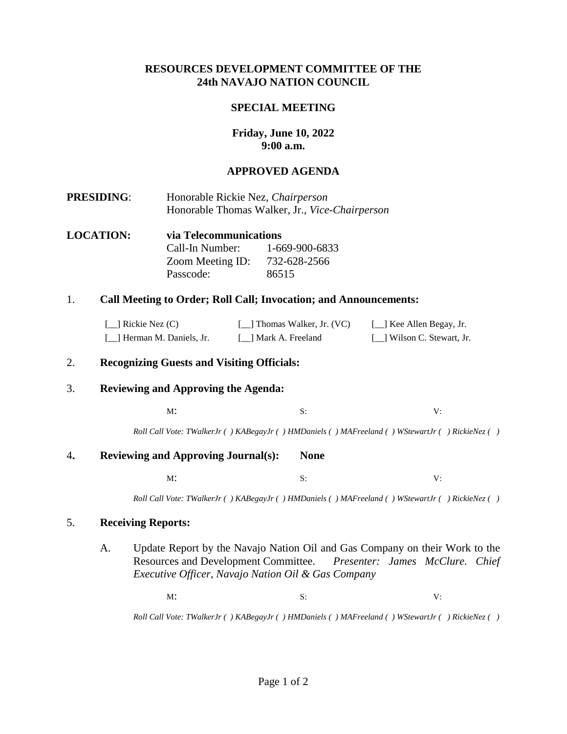## **RESOURCES DEVELOPMENT COMMITTEE OF THE 24th NAVAJO NATION COUNCIL**

### **SPECIAL MEETING**

# **Friday, June 10, 2022 9:00 a.m.**

## **APPROVED AGENDA**

- **PRESIDING**: Honorable Rickie Nez, *Chairperson* Honorable Thomas Walker, Jr., *Vice-Chairperson*
- **LOCATION: via Telecommunications**  Call-In Number: 1-669-900-6833 Zoom Meeting ID: 732-628-2566 Passcode: 86515

### 1. **Call Meeting to Order; Roll Call; Invocation; and Announcements:**

| $\lceil$ Rickie Nez (C)     | [14] Thomas Walker, Jr. (VC) | [_] Kee Allen Begay, Jr.    |
|-----------------------------|------------------------------|-----------------------------|
| [14] Herman M. Daniels, Jr. | [ 1 Mark A. Freeland         | [11] Wilson C. Stewart, Jr. |

## 2. **Recognizing Guests and Visiting Officials:**

### 3. **Reviewing and Approving the Agenda:**

 $M$ : S: V:

*Roll Call Vote: TWalkerJr ( ) KABegayJr ( ) HMDaniels ( ) MAFreeland ( ) WStewartJr ( ) RickieNez ( )*

#### 4**. Reviewing and Approving Journal(s): None**

 $M$ : S: V:

*Roll Call Vote: TWalkerJr ( ) KABegayJr ( ) HMDaniels ( ) MAFreeland ( ) WStewartJr ( ) RickieNez ( )*

### 5. **Receiving Reports:**

A. Update Report by the Navajo Nation Oil and Gas Company on their Work to the Resources and Development Committee. *Presenter: James McClure. Chief Executive Officer, Navajo Nation Oil & Gas Company*

 $M$ : S: V:

*Roll Call Vote: TWalkerJr ( ) KABegayJr ( ) HMDaniels ( ) MAFreeland ( ) WStewartJr ( ) RickieNez ( )*